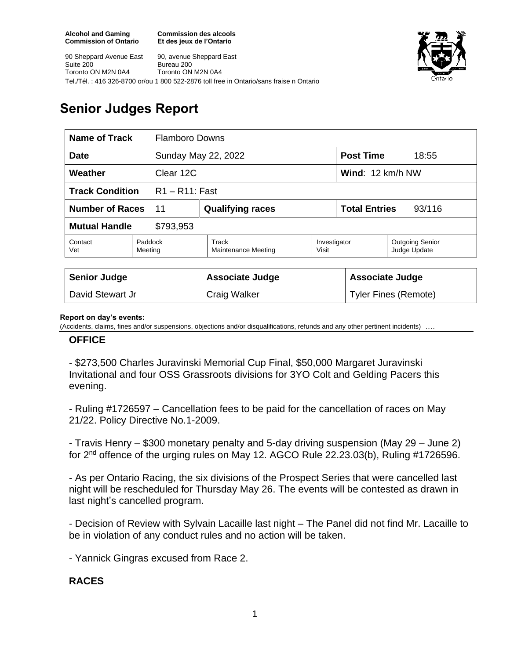**Commission des alcools Et des jeux de l'Ontario**



90 Sheppard Avenue East Suite 200 Toronto ON M2N 0A4 90, avenue Sheppard East Bureau 200 Toronto ON M2N 0A4 Tel./Tél. : 416 326-8700 or/ou 1 800 522-2876 toll free in Ontario/sans fraise n Ontario

# **Senior Judges Report**

| <b>Name of Track</b><br><b>Flamboro Downs</b> |                    |                              |                       |                                   |                                        |  |
|-----------------------------------------------|--------------------|------------------------------|-----------------------|-----------------------------------|----------------------------------------|--|
| <b>Date</b>                                   |                    | Sunday May 22, 2022          |                       | <b>Post Time</b>                  | 18:55                                  |  |
| Weather<br>Clear 12C                          |                    |                              |                       | <b>Wind:</b> $12 \text{ km/h NW}$ |                                        |  |
| <b>Track Condition</b><br>$R1 - R11$ : Fast   |                    |                              |                       |                                   |                                        |  |
| <b>Number of Races</b><br>11                  |                    | <b>Qualifying races</b>      |                       | <b>Total Entries</b><br>93/116    |                                        |  |
| <b>Mutual Handle</b><br>\$793,953             |                    |                              |                       |                                   |                                        |  |
| Contact<br>Vet                                | Paddock<br>Meeting | Track<br>Maintenance Meeting | Investigator<br>Visit |                                   | <b>Outgoing Senior</b><br>Judge Update |  |
|                                               |                    |                              |                       |                                   |                                        |  |
| <b>Senior Judge</b>                           |                    | <b>Associate Judge</b>       |                       | <b>Associate Judge</b>            |                                        |  |
| David Stewart Jr                              |                    | <b>Craig Walker</b>          |                       |                                   | <b>Tyler Fines (Remote)</b>            |  |

#### **Report on day's events:**

(Accidents, claims, fines and/or suspensions, objections and/or disqualifications, refunds and any other pertinent incidents)

### **OFFICE**

- \$273,500 Charles Juravinski Memorial Cup Final, \$50,000 Margaret Juravinski Invitational and four OSS Grassroots divisions for 3YO Colt and Gelding Pacers this evening.

- Ruling #1726597 – Cancellation fees to be paid for the cancellation of races on May 21/22. Policy Directive No.1-2009.

- Travis Henry – \$300 monetary penalty and 5-day driving suspension (May 29 – June 2) for 2nd offence of the urging rules on May 12. AGCO Rule 22.23.03(b), Ruling #1726596.

- As per Ontario Racing, the six divisions of the Prospect Series that were cancelled last night will be rescheduled for Thursday May 26. The events will be contested as drawn in last night's cancelled program.

- Decision of Review with Sylvain Lacaille last night – The Panel did not find Mr. Lacaille to be in violation of any conduct rules and no action will be taken.

- Yannick Gingras excused from Race 2.

# **RACES**